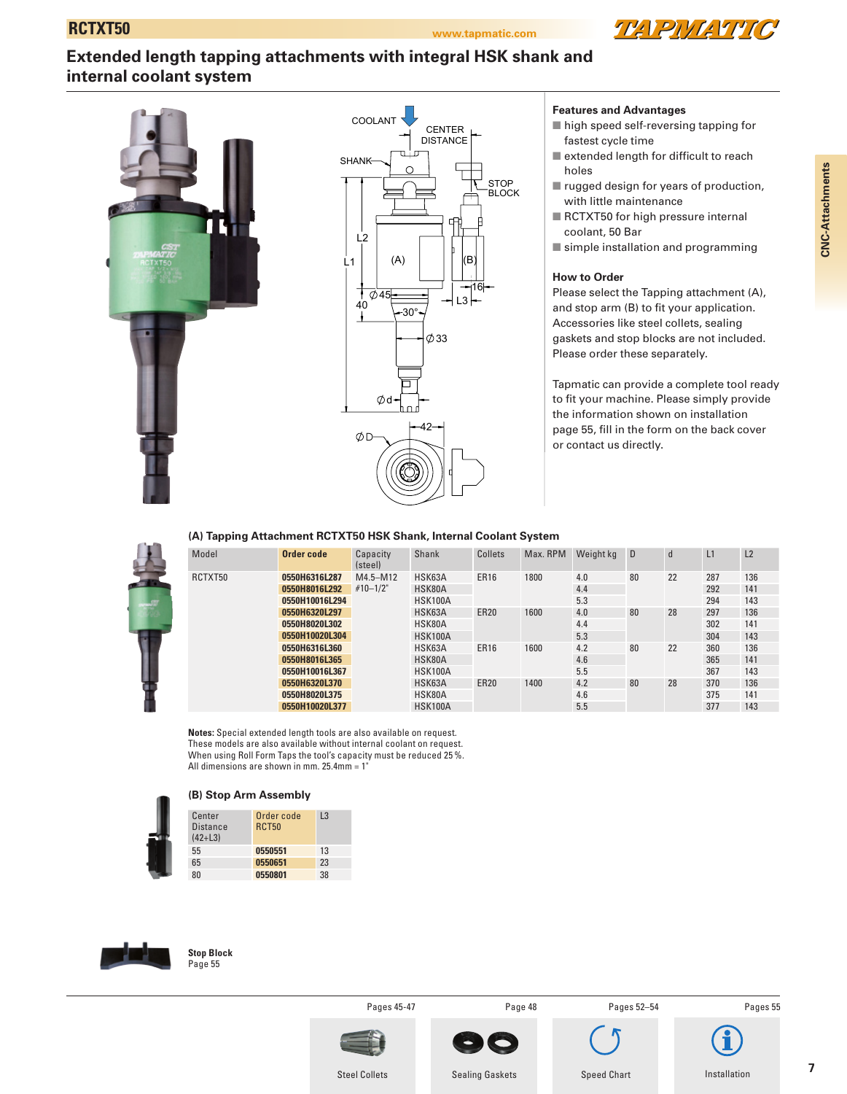

# **Extended length tapping attachments with integral HSK shank and internal coolant system**



### **Features and Advantages**

- $\blacksquare$  high speed self-reversing tapping for fastest cycle time
- $\blacksquare$  extended length for difficult to reach holes
- $\blacksquare$  rugged design for years of production, with little maintenance
- RCTXT50 for high pressure internal coolant, 50 Bar
- $\blacksquare$  simple installation and programming

### **How to Order**

Please select the Tapping attachment (A), and stop arm (B) to fit your application. Accessories like steel collets, sealing gaskets and stop blocks are not included. Please order these separately.

Tapmatic can provide a complete tool ready to fit your machine. Please simply provide the information shown on installation page 55, fill in the form on the back cover or contact us directly.

#### **(A) Tapping Attachment RCTXT50 HSK Shank, Internal Coolant System**

| Model   | Order code     | Capacity<br>(steel)          | Shank          | Collets     | Max. RPM | Weight kg | D  | $\mathbf d$ | L1  | L2  |
|---------|----------------|------------------------------|----------------|-------------|----------|-----------|----|-------------|-----|-----|
| RCTXT50 | 0550H6316L287  | $M4.5 - M12$<br>$#10 - 1/2"$ | HSK63A         | <b>ER16</b> | 1800     | 4.0       | 80 | 22          | 287 | 136 |
|         | 0550H8016L292  |                              | HSK80A         |             |          | 4.4       |    |             | 292 | 141 |
|         | 0550H10016L294 |                              | <b>HSK100A</b> |             |          | 5.3       |    |             | 294 | 143 |
|         | 0550H6320L297  |                              | HSK63A         | <b>ER20</b> | 1600     | 4.0       | 80 | 28          | 297 | 136 |
|         | 0550H8020L302  |                              | HSK80A         |             |          | 4.4       |    |             | 302 | 141 |
|         | 0550H10020L304 |                              | <b>HSK100A</b> |             |          | 5.3       |    |             | 304 | 143 |
|         | 0550H6316L360  |                              | HSK63A         | <b>ER16</b> | 1600     | 4.2       | 80 | 22          | 360 | 136 |
|         | 0550H8016L365  |                              | HSK80A         |             |          | 4.6       |    |             | 365 | 141 |
|         | 0550H10016L367 |                              | <b>HSK100A</b> |             |          | 5.5       |    |             | 367 | 143 |
|         | 0550H6320L370  |                              | HSK63A         | <b>ER20</b> | 1400     | 4.2       | 80 | 28          | 370 | 136 |
|         | 0550H8020L375  |                              | HSK80A         |             |          | 4.6       |    |             | 375 | 141 |
|         | 0550H10020L377 |                              | <b>HSK100A</b> |             |          | 5.5       |    |             | 377 | 143 |

**Notes:** Special extended length tools are also available on request. These models are also available without internal coolant on request. When using Roll Form Taps the tool's capacity must be reduced 25 %. All dimensions are shown in mm.  $25.4$ mm = 1



#### **(B) Stop Arm Assembly**

| Center<br><b>Distance</b><br>$(42+L3)$ | Order code<br><b>RCT50</b> | L3 |
|----------------------------------------|----------------------------|----|
| 55                                     | 0550551                    | 13 |
| 65                                     | 0550651                    | 23 |
| 80                                     | 0550801                    | 38 |



**Stop Block** Page 55

Pages 45-47 Page 48

Pages 52–54

Speed Chart



Installation

Pages 55

**7**